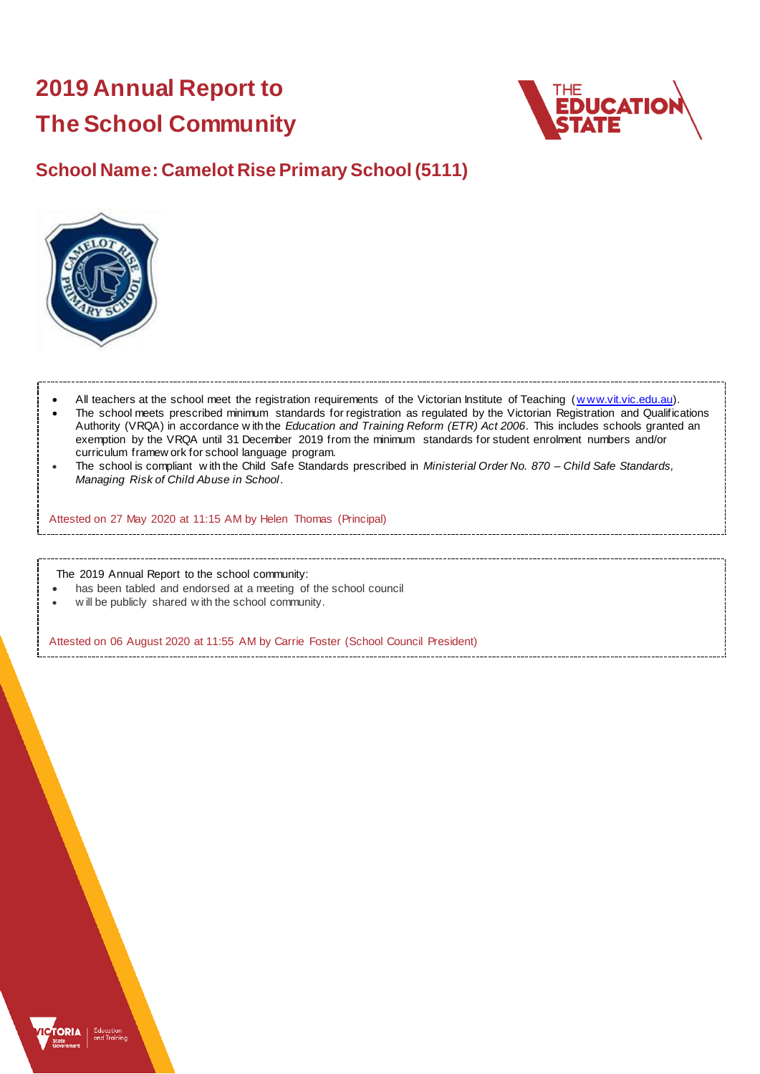# **2019 Annual Report to The School Community**



## **School Name: Camelot Rise Primary School (5111)**



- All teachers at the school meet the registration requirements of the Victorian Institute of Teaching (www.vit.vic.edu.au). The school meets prescribed minimum standards for registration as regulated by the Victorian Registration and Qualifications Authority (VRQA) in accordance w ith the *Education and Training Reform (ETR) Act 2006*. This includes schools granted an exemption by the VRQA until 31 December 2019 from the minimum standards for student enrolment numbers and/or curriculum framew ork for school language program.
- The school is compliant w ith the Child Safe Standards prescribed in *Ministerial Order No. 870 – Child Safe Standards, Managing Risk of Child Abuse in School*.

Attested on 27 May 2020 at 11:15 AM by Helen Thomas (Principal)

The 2019 Annual Report to the school community:

- has been tabled and endorsed at a meeting of the school council
- w ill be publicly shared w ith the school community.

Attested on 06 August 2020 at 11:55 AM by Carrie Foster (School Council President)

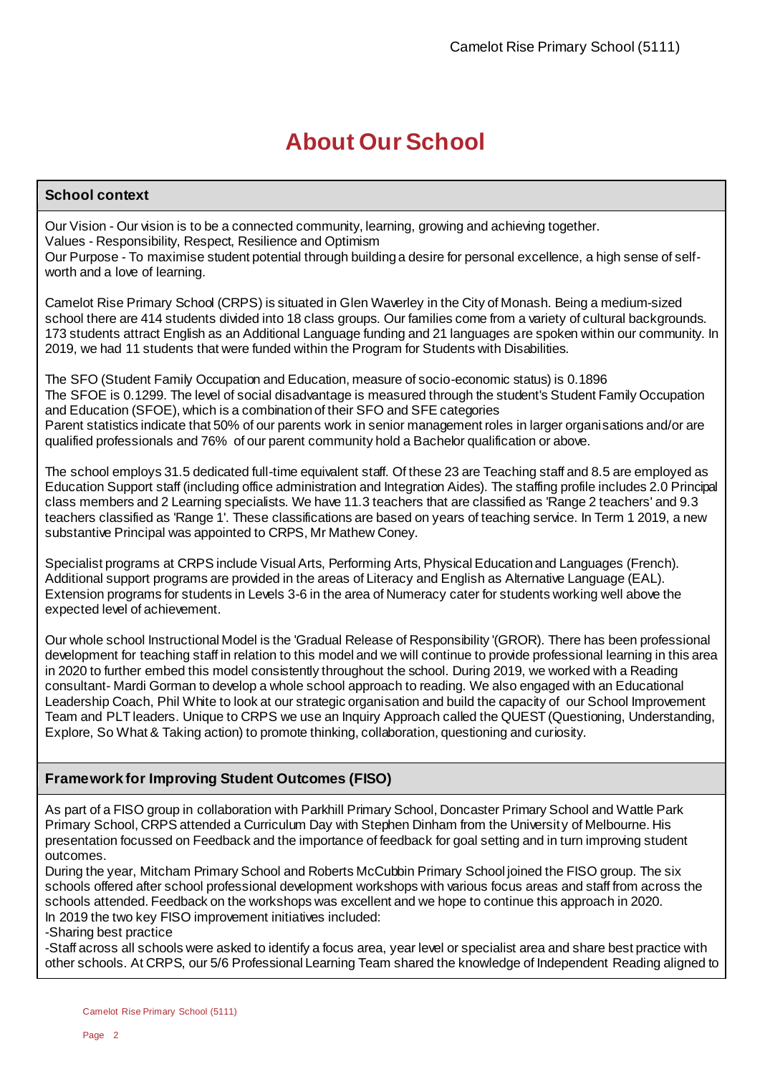# **About Our School**

## **School context**

Our Vision - Our vision is to be a connected community, learning, growing and achieving together. Values - Responsibility, Respect, Resilience and Optimism Our Purpose - To maximise student potential through building a desire for personal excellence, a high sense of selfworth and a love of learning.

Camelot Rise Primary School (CRPS) is situated in Glen Waverley in the City of Monash. Being a medium-sized school there are 414 students divided into 18 class groups. Our families come from a variety of cultural backgrounds. 173 students attract English as an Additional Language funding and 21 languages are spoken within our community. In 2019, we had 11 students that were funded within the Program for Students with Disabilities.

The SFO (Student Family Occupation and Education, measure of socio-economic status) is 0.1896 The SFOE is 0.1299. The level of social disadvantage is measured through the student's Student Family Occupation and Education (SFOE), which is a combination of their SFO and SFE categories Parent statistics indicate that 50% of our parents work in senior management roles in larger organisations and/or are qualified professionals and 76% of our parent community hold a Bachelor qualification or above.

The school employs 31.5 dedicated full-time equivalent staff. Of these 23 are Teaching staff and 8.5 are employed as Education Support staff (including office administration and Integration Aides). The staffing profile includes 2.0 Principal class members and 2 Learning specialists. We have 11.3 teachers that are classified as 'Range 2 teachers' and 9.3 teachers classified as 'Range 1'. These classifications are based on years of teaching service. In Term 1 2019, a new substantive Principal was appointed to CRPS, Mr Mathew Coney.

Specialist programs at CRPS include Visual Arts, Performing Arts, Physical Education and Languages (French). Additional support programs are provided in the areas of Literacy and English as Alternative Language (EAL). Extension programs for students in Levels 3-6 in the area of Numeracy cater for students working well above the expected level of achievement.

Our whole school Instructional Model is the 'Gradual Release of Responsibility '(GROR). There has been professional development for teaching staff in relation to this model and we will continue to provide professional learning in this area in 2020 to further embed this model consistently throughout the school. During 2019, we worked with a Reading consultant- Mardi Gorman to develop a whole school approach to reading. We also engaged with an Educational Leadership Coach, Phil White to look at our strategic organisation and build the capacity of our School Improvement Team and PLT leaders. Unique to CRPS we use an Inquiry Approach called the QUEST (Questioning, Understanding, Explore, So What & Taking action) to promote thinking, collaboration, questioning and curiosity.

### **Framework for Improving Student Outcomes (FISO)**

As part of a FISO group in collaboration with Parkhill Primary School, Doncaster Primary School and Wattle Park Primary School, CRPS attended a Curriculum Day with Stephen Dinham from the University of Melbourne. His presentation focussed on Feedback and the importance of feedback for goal setting and in turn improving student outcomes.

During the year, Mitcham Primary School and Roberts McCubbin Primary School joined the FISO group. The six schools offered after school professional development workshops with various focus areas and staff from across the schools attended. Feedback on the workshops was excellent and we hope to continue this approach in 2020. In 2019 the two key FISO improvement initiatives included:

-Sharing best practice

-Staff across all schools were asked to identify a focus area, year level or specialist area and share best practice with other schools. At CRPS, our 5/6 Professional Learning Team shared the knowledge of Independent Reading aligned to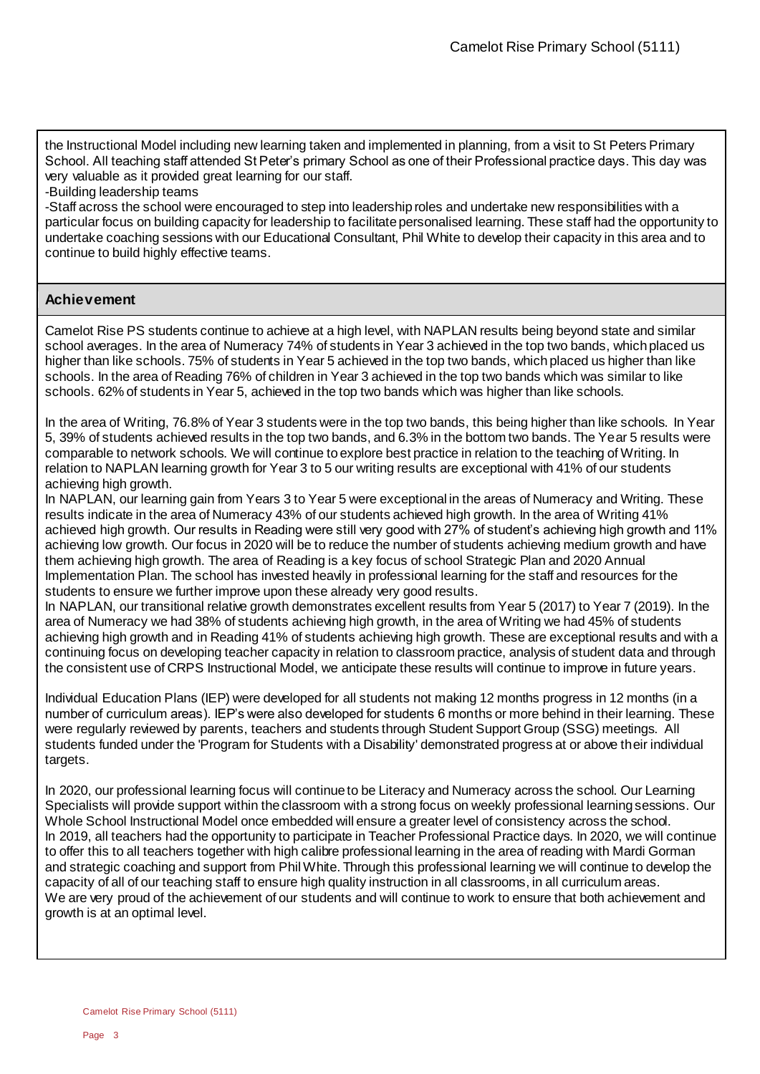the Instructional Model including new learning taken and implemented in planning, from a visit to St Peters Primary School. All teaching staff attended St Peter's primary School as one of their Professional practice days. This day was very valuable as it provided great learning for our staff.

-Building leadership teams

-Staff across the school were encouraged to step into leadership roles and undertake new responsibilities with a particular focus on building capacity for leadership to facilitate personalised learning. These staff had the opportunity to undertake coaching sessions with our Educational Consultant, Phil White to develop their capacity in this area and to continue to build highly effective teams.

### **Achievement**

Camelot Rise PS students continue to achieve at a high level, with NAPLAN results being beyond state and similar school averages. In the area of Numeracy 74% of students in Year 3 achieved in the top two bands, which placed us higher than like schools. 75% of students in Year 5 achieved in the top two bands, which placed us higher than like schools. In the area of Reading 76% of children in Year 3 achieved in the top two bands which was similar to like schools. 62% of students in Year 5, achieved in the top two bands which was higher than like schools.

In the area of Writing, 76.8% of Year 3 students were in the top two bands, this being higher than like schools. In Year 5, 39% of students achieved results in the top two bands, and 6.3% in the bottom two bands. The Year 5 results were comparable to network schools. We will continue to explore best practice in relation to the teaching of Writing. In relation to NAPLAN learning growth for Year 3 to 5 our writing results are exceptional with 41% of our students achieving high growth.

In NAPLAN, our learning gain from Years 3 to Year 5 were exceptional in the areas of Numeracy and Writing. These results indicate in the area of Numeracy 43% of our students achieved high growth. In the area of Writing 41% achieved high growth. Our results in Reading were still very good with 27% of student's achieving high growth and 11% achieving low growth. Our focus in 2020 will be to reduce the number of students achieving medium growth and have them achieving high growth. The area of Reading is a key focus of school Strategic Plan and 2020 Annual Implementation Plan. The school has invested heavily in professional learning for the staff and resources for the students to ensure we further improve upon these already very good results.

In NAPLAN, our transitional relative growth demonstrates excellent results from Year 5 (2017) to Year 7 (2019). In the area of Numeracy we had 38% of students achieving high growth, in the area of Writing we had 45% of students achieving high growth and in Reading 41% of students achieving high growth. These are exceptional results and with a continuing focus on developing teacher capacity in relation to classroom practice, analysis of student data and through the consistent use of CRPS Instructional Model, we anticipate these results will continue to improve in future years.

Individual Education Plans (IEP) were developed for all students not making 12 months progress in 12 months (in a number of curriculum areas). IEP's were also developed for students 6 months or more behind in their learning. These were regularly reviewed by parents, teachers and students through Student Support Group (SSG) meetings. All students funded under the 'Program for Students with a Disability' demonstrated progress at or above their individual targets.

In 2020, our professional learning focus will continue to be Literacy and Numeracy across the school. Our Learning Specialists will provide support within the classroom with a strong focus on weekly professional learning sessions. Our Whole School Instructional Model once embedded will ensure a greater level of consistency across the school. In 2019, all teachers had the opportunity to participate in Teacher Professional Practice days. In 2020, we will continue to offer this to all teachers together with high calibre professional learning in the area of reading with Mardi Gorman and strategic coaching and support from Phil White. Through this professional learning we will continue to develop the capacity of all of our teaching staff to ensure high quality instruction in all classrooms, in all curriculum areas. We are very proud of the achievement of our students and will continue to work to ensure that both achievement and growth is at an optimal level.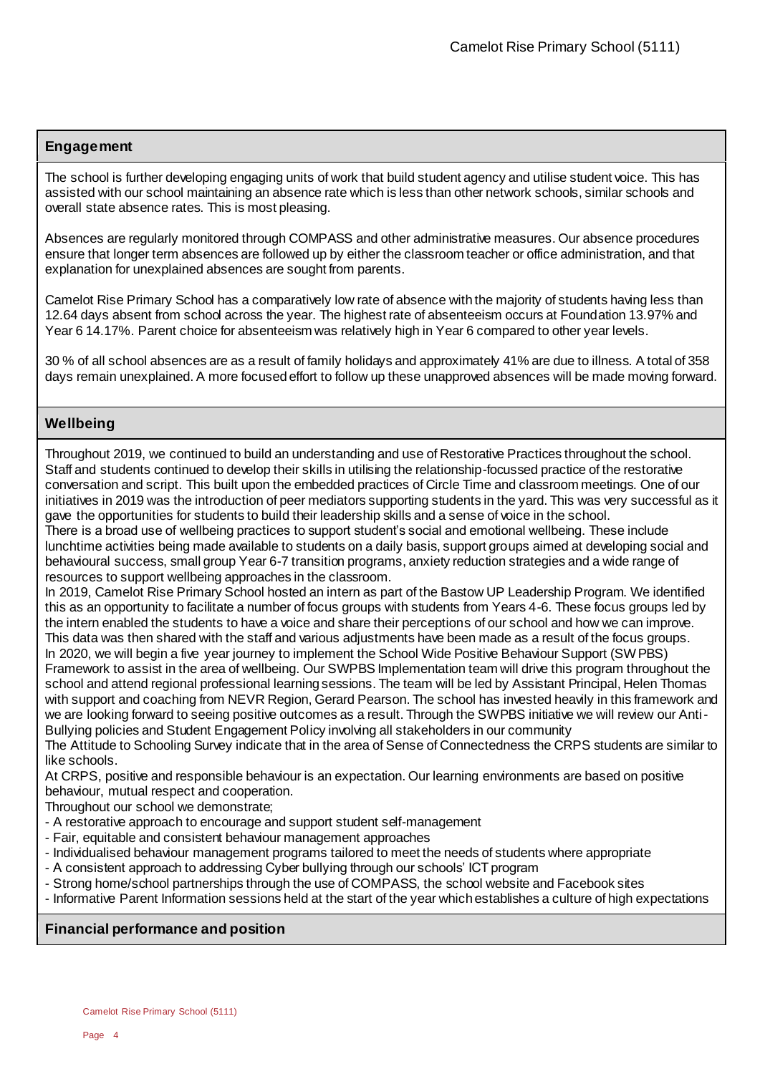### **Engagement**

The school is further developing engaging units of work that build student agency and utilise student voice. This has assisted with our school maintaining an absence rate which is less than other network schools, similar schools and overall state absence rates. This is most pleasing.

Absences are regularly monitored through COMPASS and other administrative measures. Our absence procedures ensure that longer term absences are followed up by either the classroom teacher or office administration, and that explanation for unexplained absences are sought from parents.

Camelot Rise Primary School has a comparatively low rate of absence with the majority of students having less than 12.64 days absent from school across the year. The highest rate of absenteeism occurs at Foundation 13.97% and Year 6 14.17%. Parent choice for absenteeism was relatively high in Year 6 compared to other year levels.

30 % of all school absences are as a result of family holidays and approximately 41% are due to illness. A total of 358 days remain unexplained. A more focused effort to follow up these unapproved absences will be made moving forward.

### **Wellbeing**

Throughout 2019, we continued to build an understanding and use of Restorative Practices throughout the school. Staff and students continued to develop their skills in utilising the relationship-focussed practice of the restorative conversation and script. This built upon the embedded practices of Circle Time and classroom meetings. One of our initiatives in 2019 was the introduction of peer mediators supporting students in the yard. This was very successful as it gave the opportunities for students to build their leadership skills and a sense of voice in the school.

There is a broad use of wellbeing practices to support student's social and emotional wellbeing. These include lunchtime activities being made available to students on a daily basis, support groups aimed at developing social and behavioural success, small group Year 6-7 transition programs, anxiety reduction strategies and a wide range of resources to support wellbeing approaches in the classroom.

In 2019, Camelot Rise Primary School hosted an intern as part of the Bastow UP Leadership Program. We identified this as an opportunity to facilitate a number of focus groups with students from Years 4-6. These focus groups led by the intern enabled the students to have a voice and share their perceptions of our school and how we can improve. This data was then shared with the staff and various adjustments have been made as a result of the focus groups. In 2020, we will begin a five year journey to implement the School Wide Positive Behaviour Support (SWPBS) Framework to assist in the area of wellbeing. Our SWPBS Implementation team will drive this program throughout the school and attend regional professional learning sessions. The team will be led by Assistant Principal, Helen Thomas with support and coaching from NEVR Region, Gerard Pearson. The school has invested heavily in this framework and we are looking forward to seeing positive outcomes as a result. Through the SWPBS initiative we will review our Anti-Bullying policies and Student Engagement Policy involving all stakeholders in our community

The Attitude to Schooling Survey indicate that in the area of Sense of Connectedness the CRPS students are similar to like schools.

At CRPS, positive and responsible behaviour is an expectation. Our learning environments are based on positive behaviour, mutual respect and cooperation.

Throughout our school we demonstrate;

- A restorative approach to encourage and support student self-management
- Fair, equitable and consistent behaviour management approaches
- Individualised behaviour management programs tailored to meet the needs of students where appropriate
- A consistent approach to addressing Cyber bullying through our schools' ICT program
- Strong home/school partnerships through the use of COMPASS, the school website and Facebook sites
- Informative Parent Information sessions held at the start of the year which establishes a culture of high expectations

### **Financial performance and position**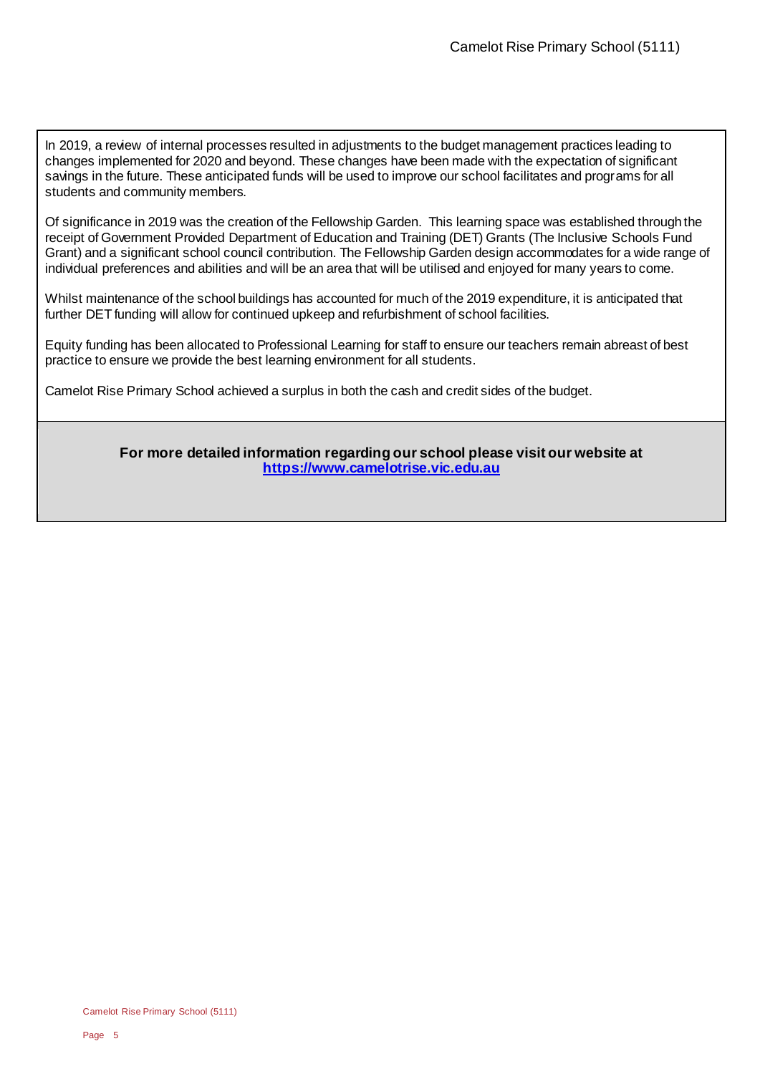In 2019, a review of internal processes resulted in adjustments to the budget management practices leading to changes implemented for 2020 and beyond. These changes have been made with the expectation of significant savings in the future. These anticipated funds will be used to improve our school facilitates and programs for all students and community members.

Of significance in 2019 was the creation of the Fellowship Garden. This learning space was established through the receipt of Government Provided Department of Education and Training (DET) Grants (The Inclusive Schools Fund Grant) and a significant school council contribution. The Fellowship Garden design accommodates for a wide range of individual preferences and abilities and will be an area that will be utilised and enjoyed for many years to come.

Whilst maintenance of the school buildings has accounted for much of the 2019 expenditure, it is anticipated that further DET funding will allow for continued upkeep and refurbishment of school facilities.

Equity funding has been allocated to Professional Learning for staff to ensure our teachers remain abreast of best practice to ensure we provide the best learning environment for all students.

Camelot Rise Primary School achieved a surplus in both the cash and credit sides of the budget.

**For more detailed information regarding our school please visit our website at [https://www.camelotrise.vic.edu.au](https://www.camelotrise.vic.edu.au/)**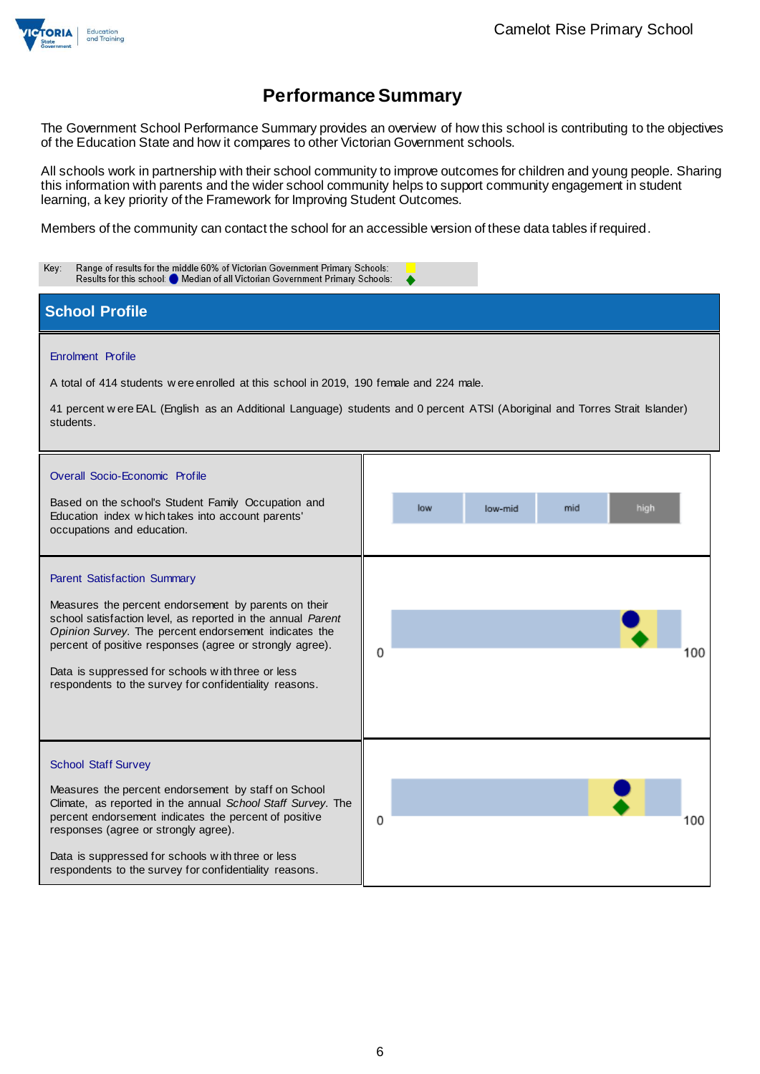

The Government School Performance Summary provides an overview of how this school is contributing to the objectives of the Education State and how it compares to other Victorian Government schools.

All schools work in partnership with their school community to improve outcomes for children and young people. Sharing this information with parents and the wider school community helps to support community engagement in student learning, a key priority of the Framework for Improving Student Outcomes.

Members of the community can contact the school for an accessible version of these data tables if required.

| Range of results for the middle 60% of Victorian Government Primary Schools:<br>Key:<br>Results for this school: O Median of all Victorian Government Primary Schools:                                                                                                                                                                                                                 |                                                                                                                                                              |  |  |
|----------------------------------------------------------------------------------------------------------------------------------------------------------------------------------------------------------------------------------------------------------------------------------------------------------------------------------------------------------------------------------------|--------------------------------------------------------------------------------------------------------------------------------------------------------------|--|--|
| <b>School Profile</b>                                                                                                                                                                                                                                                                                                                                                                  |                                                                                                                                                              |  |  |
| Enrolment Profile<br>A total of 414 students w ere enrolled at this school in 2019, 190 female and 224 male.<br>students.<br>Overall Socio-Economic Profile<br>Based on the school's Student Family Occupation and<br>Education index which takes into account parents'<br>occupations and education.                                                                                  | 41 percent were EAL (English as an Additional Language) students and 0 percent ATSI (Aboriginal and Torres Strait Islander)<br>low<br>mid<br>high<br>low-mid |  |  |
| Parent Satisfaction Summary<br>Measures the percent endorsement by parents on their<br>school satisfaction level, as reported in the annual Parent<br>Opinion Survey. The percent endorsement indicates the<br>percent of positive responses (agree or strongly agree).<br>Data is suppressed for schools with three or less<br>respondents to the survey for confidentiality reasons. | 0<br>100                                                                                                                                                     |  |  |
| <b>School Staff Survey</b><br>Measures the percent endorsement by staff on School<br>Climate, as reported in the annual School Staff Survey. The<br>percent endorsement indicates the percent of positive<br>responses (agree or strongly agree).<br>Data is suppressed for schools with three or less<br>respondents to the survey for confidentiality reasons.                       | 0<br>100                                                                                                                                                     |  |  |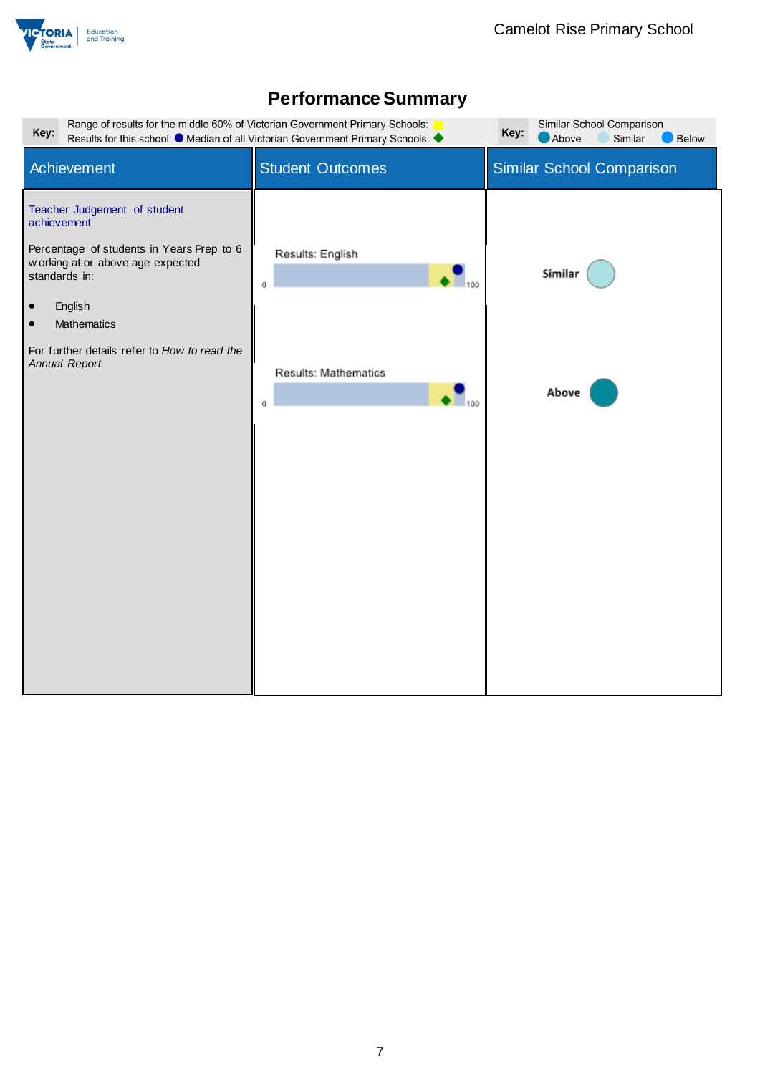

| Range of results for the middle 60% of Victorian Government Primary Schools:<br>Key:<br>Results for this school: ● Median of all Victorian Government Primary Schools: ◆                                                                                             | Similar School Comparison<br>Key:<br>Above<br>Similar<br>Below              |                           |
|----------------------------------------------------------------------------------------------------------------------------------------------------------------------------------------------------------------------------------------------------------------------|-----------------------------------------------------------------------------|---------------------------|
| Achievement                                                                                                                                                                                                                                                          | <b>Student Outcomes</b>                                                     | Similar School Comparison |
| Teacher Judgement of student<br>achievement<br>Percentage of students in Years Prep to 6<br>w orking at or above age expected<br>standards in:<br>English<br>$\bullet$<br>Mathematics<br>$\bullet$<br>For further details refer to How to read the<br>Annual Report. | Results: English<br>100<br>O<br>Results: Mathematics<br>$\Gamma_{100}$<br>n | Similar<br>Above          |
|                                                                                                                                                                                                                                                                      |                                                                             |                           |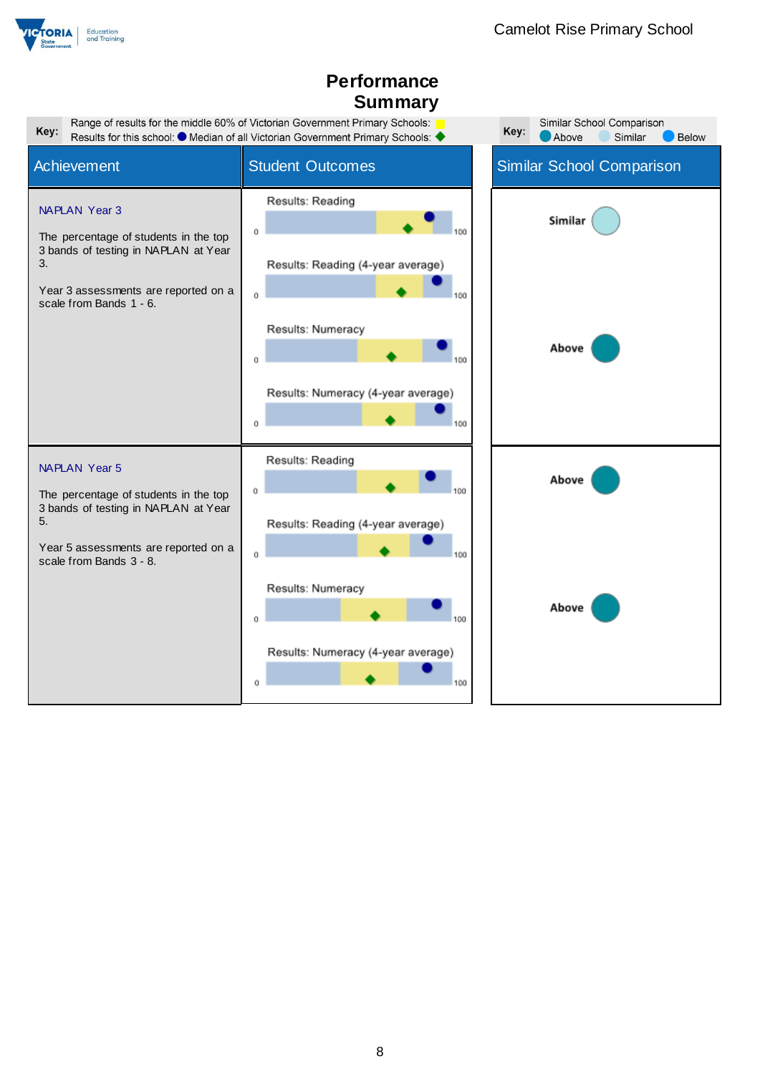

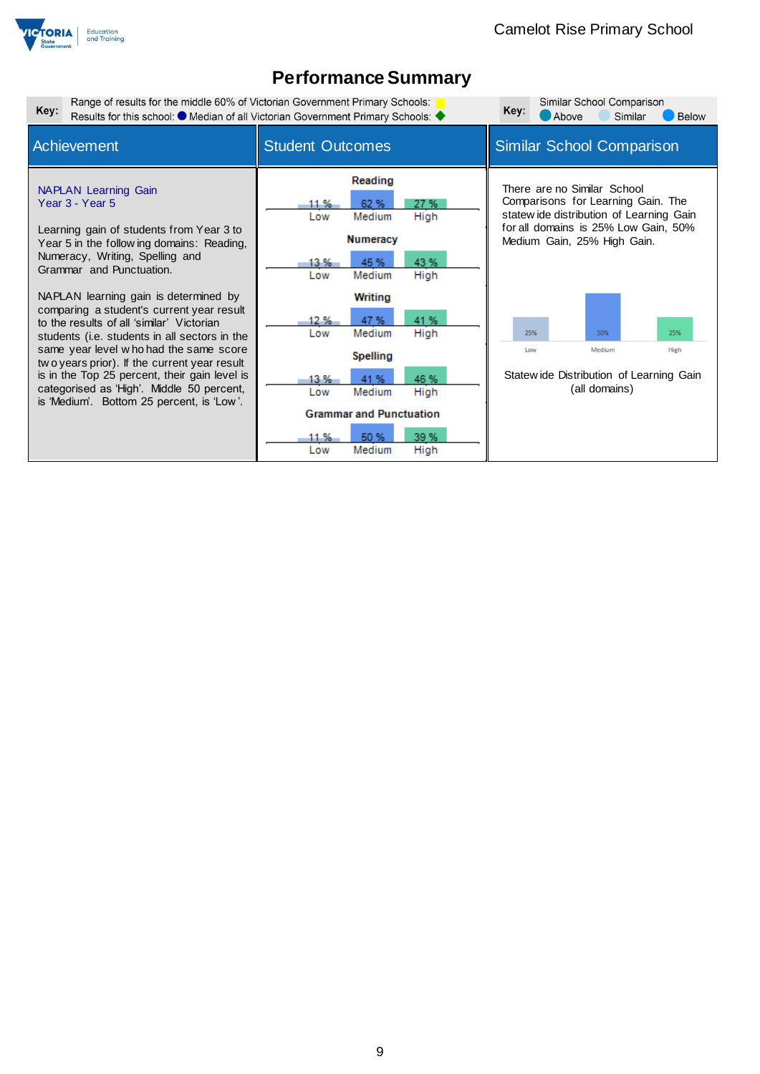

| Range of results for the middle 60% of Victorian Government Primary Schools:<br>Key:                                                                                                                                                                                                                                                                                                                                                                                                                                                                                                                                             |                                                                                                                                                                                                                                                                                                                                                | Similar School Comparison<br>Key:                                                                                                                                                                                                                                                               |  |
|----------------------------------------------------------------------------------------------------------------------------------------------------------------------------------------------------------------------------------------------------------------------------------------------------------------------------------------------------------------------------------------------------------------------------------------------------------------------------------------------------------------------------------------------------------------------------------------------------------------------------------|------------------------------------------------------------------------------------------------------------------------------------------------------------------------------------------------------------------------------------------------------------------------------------------------------------------------------------------------|-------------------------------------------------------------------------------------------------------------------------------------------------------------------------------------------------------------------------------------------------------------------------------------------------|--|
|                                                                                                                                                                                                                                                                                                                                                                                                                                                                                                                                                                                                                                  | Results for this school: ● Median of all Victorian Government Primary Schools: ◆<br><b>Below</b><br>Above<br>Similar                                                                                                                                                                                                                           |                                                                                                                                                                                                                                                                                                 |  |
| Achievement                                                                                                                                                                                                                                                                                                                                                                                                                                                                                                                                                                                                                      | <b>Student Outcomes</b>                                                                                                                                                                                                                                                                                                                        | <b>Similar School Comparison</b>                                                                                                                                                                                                                                                                |  |
| <b>NAPLAN</b> Learning Gain<br>Year 3 - Year 5<br>Learning gain of students from Year 3 to<br>Year 5 in the follow ing domains: Reading,<br>Numeracy, Writing, Spelling and<br>Grammar and Punctuation.<br>NAPLAN learning gain is determined by<br>comparing a student's current year result<br>to the results of all 'similar' Victorian<br>students (i.e. students in all sectors in the<br>same year level who had the same score<br>two years prior). If the current year result<br>is in the Top 25 percent, their gain level is<br>categorised as 'High'. Middle 50 percent,<br>is 'Medium'. Bottom 25 percent, is 'Low'. | Reading<br>62 %<br>27 %<br>11 %<br>Medium<br>High<br>Low<br><b>Numeracy</b><br>43 %<br>45 %<br>13 %<br>Medium<br>High<br>Low<br>Writing<br>41 %<br>47 %<br>12 %<br>Medium<br>High<br>Low<br><b>Spelling</b><br>46 %<br>41%<br>13 %<br>Medium<br>High<br>Low<br><b>Grammar and Punctuation</b><br>39 %<br>50 %<br>11 %<br>High<br>Medium<br>Low | There are no Similar School<br>Comparisons for Learning Gain. The<br>statew ide distribution of Learning Gain<br>for all domains is 25% Low Gain, 50%<br>Medium Gain, 25% High Gain.<br>25%<br>50%<br>25%<br>Medium<br>Low<br>High<br>Statew ide Distribution of Learning Gain<br>(all domains) |  |
|                                                                                                                                                                                                                                                                                                                                                                                                                                                                                                                                                                                                                                  |                                                                                                                                                                                                                                                                                                                                                |                                                                                                                                                                                                                                                                                                 |  |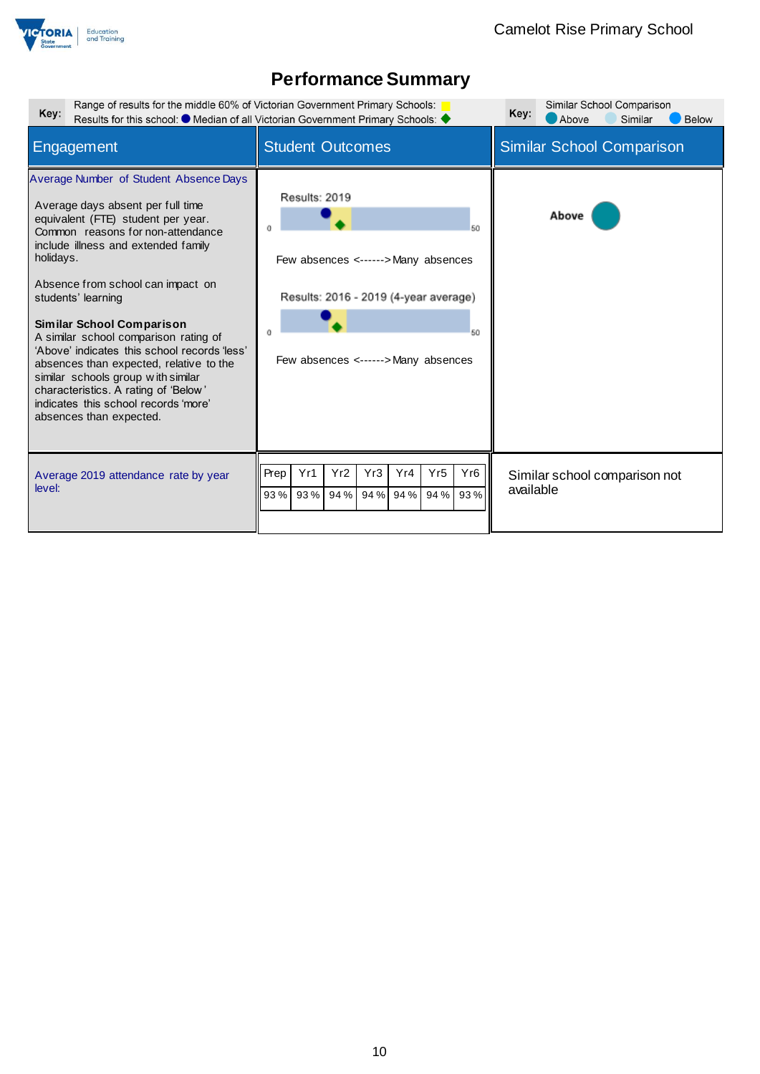

|                                                                                                                                                  | Similar School Comparison<br>Key:<br>Above<br><b>Below</b><br>Similar                                                                                            |
|--------------------------------------------------------------------------------------------------------------------------------------------------|------------------------------------------------------------------------------------------------------------------------------------------------------------------|
| <b>Student Outcomes</b>                                                                                                                          | <b>Similar School Comparison</b>                                                                                                                                 |
| Results: 2019<br>50<br>Few absences <------> Many absences<br>Results: 2016 - 2019 (4-year average)<br>50<br>Few absences <------> Many absences | Above                                                                                                                                                            |
| Yr2<br>Yr4<br>Yr <sub>6</sub><br>Yr1<br>Yr3<br>Yr <sub>5</sub><br>Prep<br>94 % 93 %<br>94 % 94 %<br>93%<br>93%<br>94 %                           | Similar school comparison not<br>available                                                                                                                       |
|                                                                                                                                                  | Range of results for the middle 60% of Victorian Government Primary Schools:<br>Results for this school: O Median of all Victorian Government Primary Schools: 4 |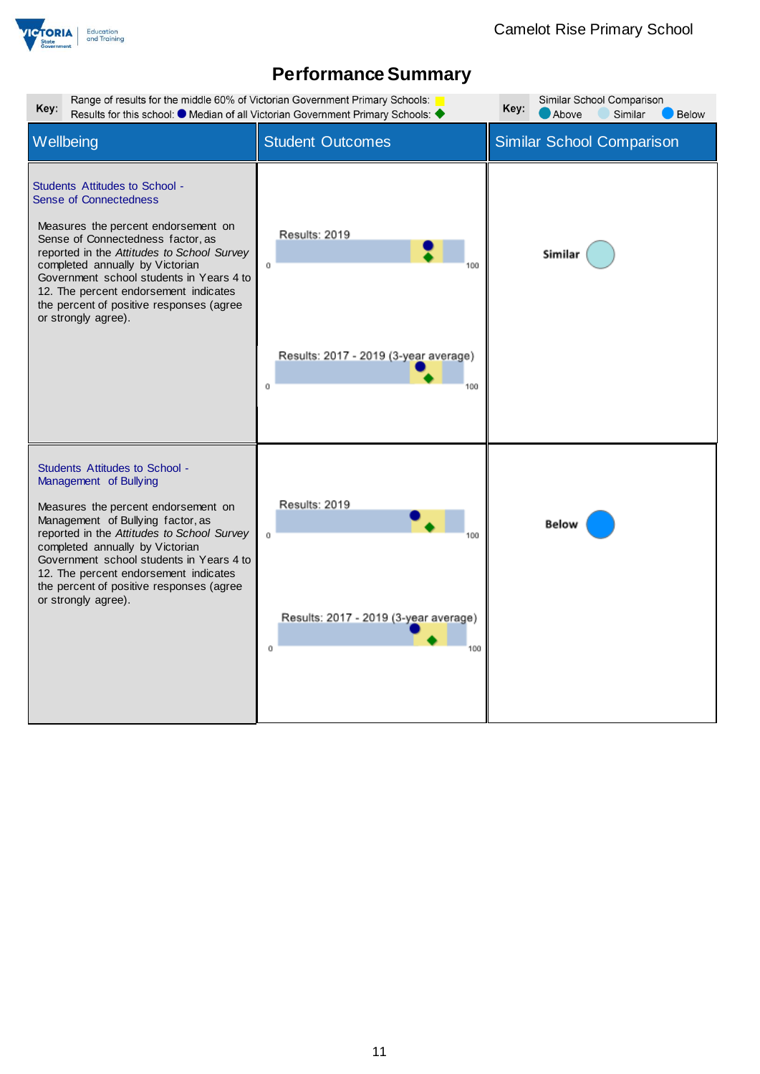

| Range of results for the middle 60% of Victorian Government Primary Schools:<br>Similar School Comparison<br>Key:<br>Key:<br>Results for this school: $\bullet$ Median of all Victorian Government Primary Schools:<br>Similar<br>Above<br><b>Below</b>                                                                                                                              |                                                                         |                                  |  |
|--------------------------------------------------------------------------------------------------------------------------------------------------------------------------------------------------------------------------------------------------------------------------------------------------------------------------------------------------------------------------------------|-------------------------------------------------------------------------|----------------------------------|--|
| Wellbeing                                                                                                                                                                                                                                                                                                                                                                            | <b>Student Outcomes</b>                                                 | <b>Similar School Comparison</b> |  |
| Students Attitudes to School -<br><b>Sense of Connectedness</b><br>Measures the percent endorsement on<br>Sense of Connectedness factor, as<br>reported in the Attitudes to School Survey<br>completed annually by Victorian<br>Government school students in Years 4 to<br>12. The percent endorsement indicates<br>the percent of positive responses (agree<br>or strongly agree). | Results: 2019<br>Ű<br>Results: 2017 - 2019 (3-year average)<br>Ŭ<br>100 | Similar                          |  |
| <b>Students Attitudes to School -</b><br>Management of Bullying<br>Measures the percent endorsement on<br>Management of Bullying factor, as<br>reported in the Attitudes to School Survey<br>completed annually by Victorian<br>Government school students in Years 4 to<br>12. The percent endorsement indicates<br>the percent of positive responses (agree<br>or strongly agree). | Results: 2019<br>ū<br>Results: 2017 - 2019 (3-year average)<br>Ū<br>100 | Below                            |  |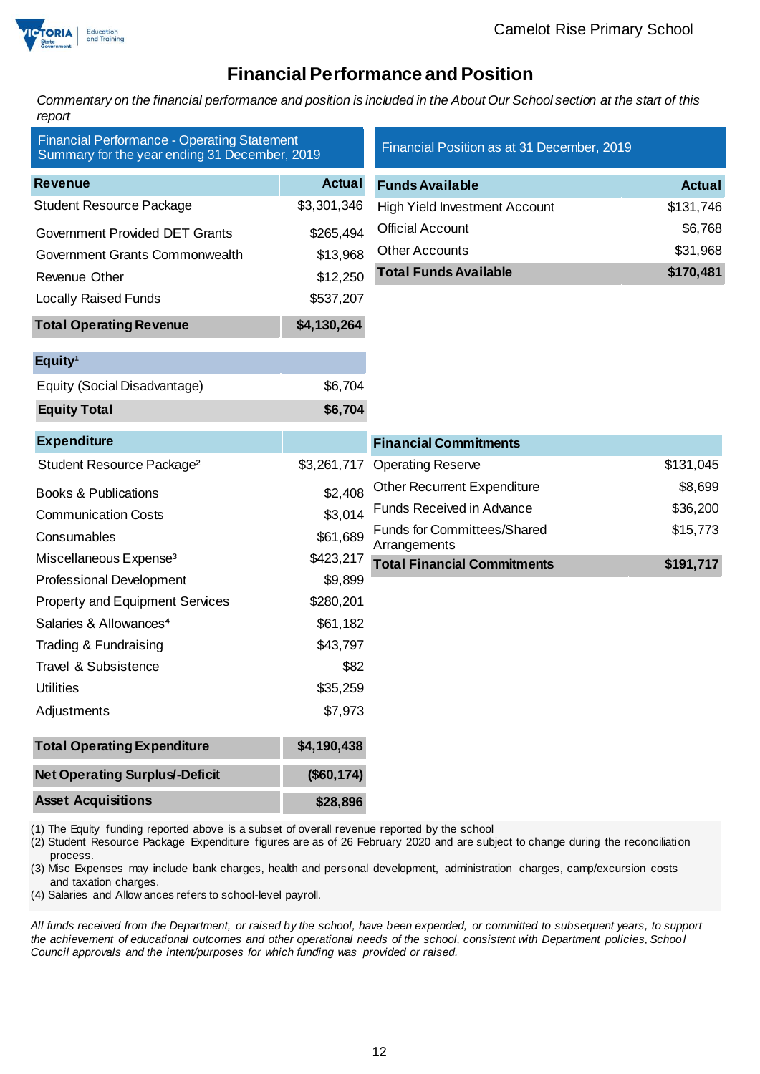

## **Financial Performance and Position**

*Commentary on the financial performance and position is included in the About Our School section at the start of this report*

| <b>Financial Performance - Operating Statement</b><br>Summary for the year ending 31 December, 2019 |               | Financial Position as at 31 December, 2019         |               |
|-----------------------------------------------------------------------------------------------------|---------------|----------------------------------------------------|---------------|
| <b>Revenue</b>                                                                                      | <b>Actual</b> | <b>Funds Available</b>                             | <b>Actual</b> |
| <b>Student Resource Package</b>                                                                     | \$3,301,346   | <b>High Yield Investment Account</b>               | \$131,746     |
| <b>Government Provided DET Grants</b>                                                               | \$265,494     | <b>Official Account</b>                            | \$6,768       |
| Government Grants Commonwealth                                                                      | \$13,968      | <b>Other Accounts</b>                              | \$31,968      |
| Revenue Other                                                                                       | \$12,250      | <b>Total Funds Available</b>                       | \$170,481     |
| <b>Locally Raised Funds</b>                                                                         | \$537,207     |                                                    |               |
| <b>Total Operating Revenue</b>                                                                      | \$4,130,264   |                                                    |               |
| Equity <sup>1</sup>                                                                                 |               |                                                    |               |
| Equity (Social Disadvantage)                                                                        | \$6,704       |                                                    |               |
| <b>Equity Total</b>                                                                                 | \$6,704       |                                                    |               |
| <b>Expenditure</b>                                                                                  |               | <b>Financial Commitments</b>                       |               |
| Student Resource Package <sup>2</sup>                                                               | \$3,261,717   | <b>Operating Reserve</b>                           | \$131,045     |
| <b>Books &amp; Publications</b>                                                                     | \$2,408       | <b>Other Recurrent Expenditure</b>                 | \$8,699       |
| <b>Communication Costs</b>                                                                          | \$3,014       | Funds Received in Advance                          | \$36,200      |
| Consumables                                                                                         | \$61,689      | <b>Funds for Committees/Shared</b><br>Arrangements | \$15,773      |
| Miscellaneous Expense <sup>3</sup>                                                                  | \$423,217     | <b>Total Financial Commitments</b>                 | \$191,717     |
| <b>Professional Development</b>                                                                     | \$9,899       |                                                    |               |
| <b>Property and Equipment Services</b>                                                              | \$280,201     |                                                    |               |
| Salaries & Allowances <sup>4</sup>                                                                  | \$61,182      |                                                    |               |
| Trading & Fundraising                                                                               | \$43,797      |                                                    |               |
| Travel & Subsistence                                                                                | \$82          |                                                    |               |
| <b>Utilities</b>                                                                                    | \$35,259      |                                                    |               |
| Adjustments                                                                                         | \$7,973       |                                                    |               |
| <b>Total Operating Expenditure</b>                                                                  | \$4,190,438   |                                                    |               |
| <b>Net Operating Surplus/-Deficit</b>                                                               | (\$60, 174)   |                                                    |               |
| <b>Asset Acquisitions</b>                                                                           | \$28,896      |                                                    |               |

(1) The Equity funding reported above is a subset of overall revenue reported by the school

(2) Student Resource Package Expenditure figures are as of 26 February 2020 and are subject to change during the reconciliation process.

(3) Misc Expenses may include bank charges, health and personal development, administration charges, camp/excursion costs and taxation charges.

(4) Salaries and Allow ances refers to school-level payroll.

*All funds received from the Department, or raised by the school, have been expended, or committed to subsequent years, to support the achievement of educational outcomes and other operational needs of the school, consistent with Department policies, School Council approvals and the intent/purposes for which funding was provided or raised.*